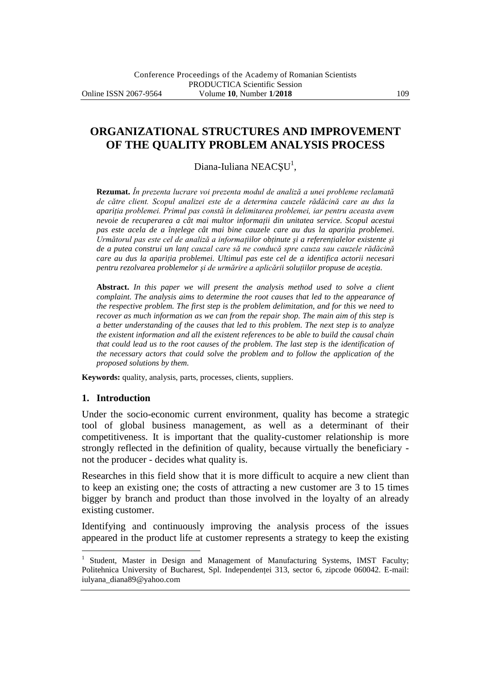**ORGANIZATIONAL STRUCTURES AND IMPROVEMENT OF THE QUALITY PROBLEM ANALYSIS PROCESS**

Diana-Iuliana NEACȘU<sup>1</sup>,

**Rezumat.** *În prezenta lucrare voi prezenta modul de analiză a unei probleme reclamată de către client. Scopul analizei este de a determina cauzele rădăcină care au dus la apariţia problemei. Primul pas constă în delimitarea problemei, iar pentru aceasta avem nevoie de recuperarea a cât mai multor informaţii din unitatea service. Scopul acestui pas este acela de a înţelege cât mai bine cauzele care au dus la apariţia problemei.*  Următorul pas este cel de analiză a informațiilor obținute și a referențialelor existente și *de a putea construi un lanţ cauzal care să ne conducă spre cauza sau cauzele rădăcină care au dus la apariţia problemei. Ultimul pas este cel de a identifica actorii necesari pentru rezolvarea problemelor şi de urmărire a aplicării soluţiilor propuse de aceştia.*

**Abstract.** *In this paper we will present the analysis method used to solve a client complaint. The analysis aims to determine the root causes that led to the appearance of the respective problem. The first step is the problem delimitation, and for this we need to recover as much information as we can from the repair shop. The main aim of this step is a better understanding of the causes that led to this problem. The next step is to analyze the existent information and all the existent references to be able to build the causal chain that could lead us to the root causes of the problem. The last step is the identification of the necessary actors that could solve the problem and to follow the application of the proposed solutions by them.*

**Keywords:** quality, analysis, parts, processes, clients, suppliers.

#### **1. Introduction**

 $\overline{a}$ 

Under the socio-economic current environment, quality has become a strategic tool of global business management, as well as a determinant of their competitiveness. It is important that the quality-customer relationship is more strongly reflected in the definition of quality, because virtually the beneficiary not the producer - decides what quality is.

Researches in this field show that it is more difficult to acquire a new client than to keep an existing one; the costs of attracting a new customer are 3 to 15 times bigger by branch and product than those involved in the loyalty of an already existing customer.

Identifying and continuously improving the analysis process of the issues appeared in the product life at customer represents a strategy to keep the existing

<sup>1</sup> Student, Master in Design and Management of Manufacturing Systems, IMST Faculty; Politehnica University of Bucharest, Spl. Independenței 313, sector 6, zipcode 060042. E-mail: iulyana\_diana89@yahoo.com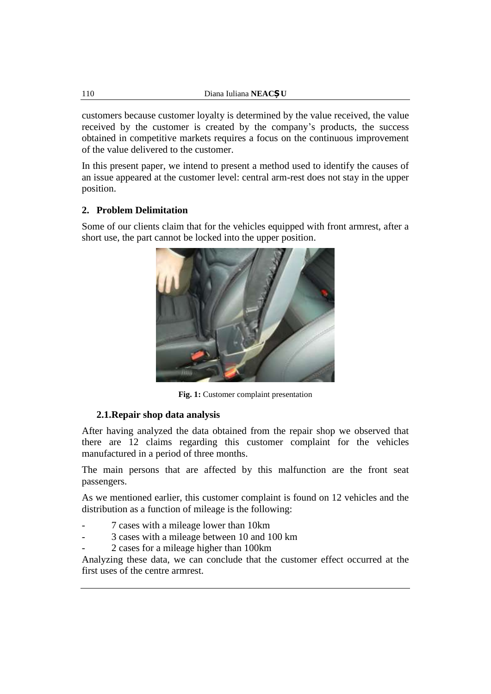customers because customer loyalty is determined by the value received, the value received by the customer is created by the company's products, the success obtained in competitive markets requires a focus on the continuous improvement of the value delivered to the customer.

In this present paper, we intend to present a method used to identify the causes of an issue appeared at the customer level: central arm-rest does not stay in the upper position.

# **2. Problem Delimitation**

Some of our clients claim that for the vehicles equipped with front armrest, after a short use, the part cannot be locked into the upper position.



**Fig. 1:** Customer complaint presentation

## **2.1.Repair shop data analysis**

After having analyzed the data obtained from the repair shop we observed that there are 12 claims regarding this customer complaint for the vehicles manufactured in a period of three months.

The main persons that are affected by this malfunction are the front seat passengers.

As we mentioned earlier, this customer complaint is found on 12 vehicles and the distribution as a function of mileage is the following:

- 7 cases with a mileage lower than 10km
- 3 cases with a mileage between 10 and 100 km
- 2 cases for a mileage higher than 100km

Analyzing these data, we can conclude that the customer effect occurred at the first uses of the centre armrest.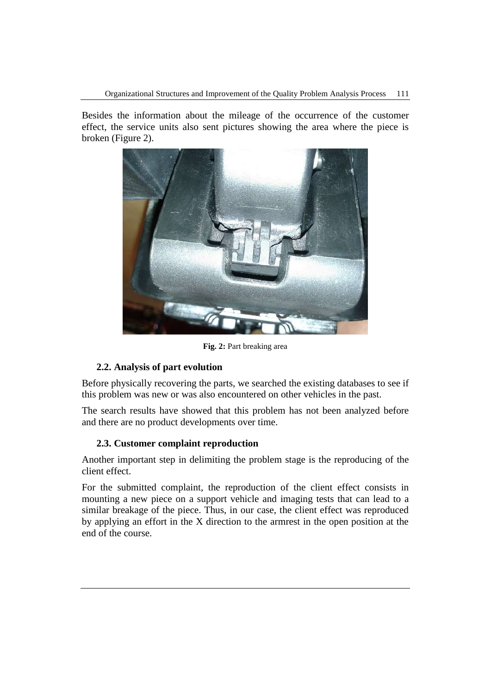Besides the information about the mileage of the occurrence of the customer effect, the service units also sent pictures showing the area where the piece is broken (Figure 2).



**Fig. 2:** Part breaking area

# **2.2. Analysis of part evolution**

Before physically recovering the parts, we searched the existing databases to see if this problem was new or was also encountered on other vehicles in the past.

The search results have showed that this problem has not been analyzed before and there are no product developments over time.

## **2.3. Customer complaint reproduction**

Another important step in delimiting the problem stage is the reproducing of the client effect.

For the submitted complaint, the reproduction of the client effect consists in mounting a new piece on a support vehicle and imaging tests that can lead to a similar breakage of the piece. Thus, in our case, the client effect was reproduced by applying an effort in the X direction to the armrest in the open position at the end of the course.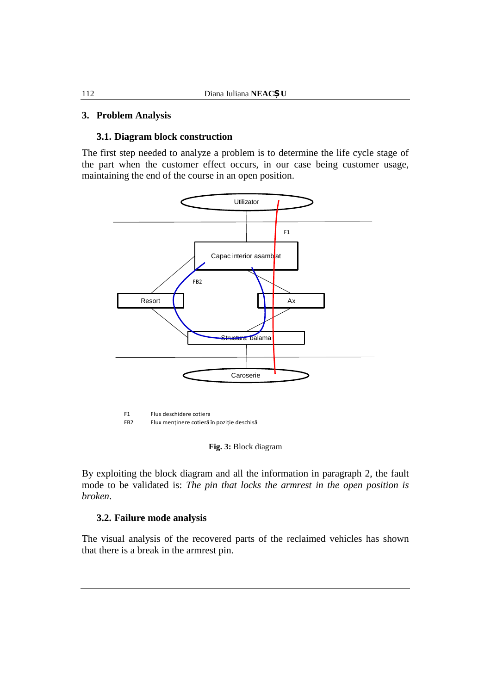#### **3. Problem Analysis**

#### **3.1. Diagram block construction**

The first step needed to analyze a problem is to determine the life cycle stage of the part when the customer effect occurs, in our case being customer usage, maintaining the end of the course in an open position.



F1 Flux deschidere cotiera

FB2 Flux menținere cotieră în poziție deschisă

**Fig. 3:** Block diagram

By exploiting the block diagram and all the information in paragraph 2, the fault mode to be validated is: *The pin that locks the armrest in the open position is broken*.

#### **3.2. Failure mode analysis**

The visual analysis of the recovered parts of the reclaimed vehicles has shown that there is a break in the armrest pin.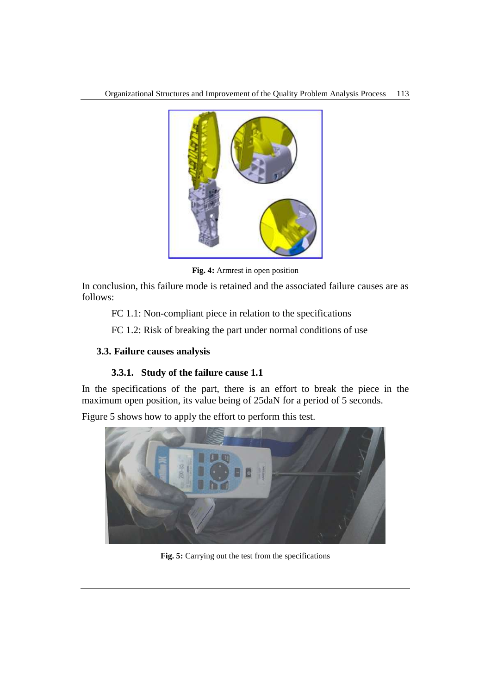

**Fig. 4:** Armrest in open position

In conclusion, this failure mode is retained and the associated failure causes are as follows:

FC 1.1: Non-compliant piece in relation to the specifications

FC 1.2: Risk of breaking the part under normal conditions of use

## **3.3. Failure causes analysis**

# **3.3.1. Study of the failure cause 1.1**

In the specifications of the part, there is an effort to break the piece in the maximum open position, its value being of 25daN for a period of 5 seconds.

Figure 5 shows how to apply the effort to perform this test.



**Fig. 5:** Carrying out the test from the specifications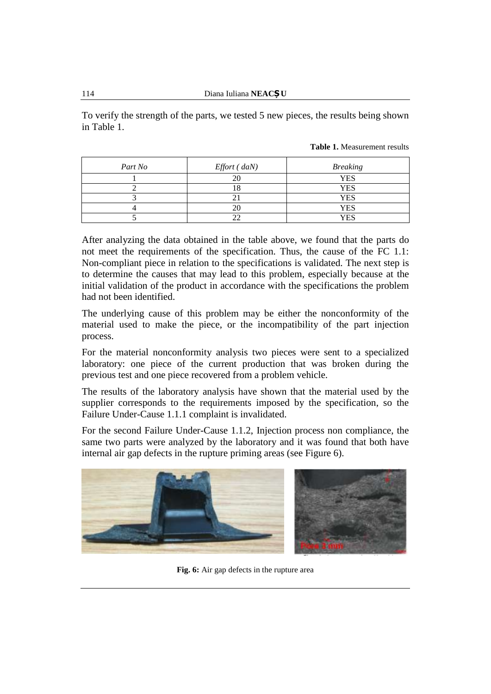To verify the strength of the parts, we tested 5 new pieces, the results being shown in Table 1.

| Part No | Effort (daN) | <b>Breaking</b> |
|---------|--------------|-----------------|
|         |              | YES             |
|         |              | YES             |
|         |              | YES             |
|         |              | YES             |
|         |              | YES             |

After analyzing the data obtained in the table above, we found that the parts do not meet the requirements of the specification. Thus, the cause of the FC 1.1: Non-compliant piece in relation to the specifications is validated. The next step is to determine the causes that may lead to this problem, especially because at the initial validation of the product in accordance with the specifications the problem had not been identified.

The underlying cause of this problem may be either the nonconformity of the material used to make the piece, or the incompatibility of the part injection process.

For the material nonconformity analysis two pieces were sent to a specialized laboratory: one piece of the current production that was broken during the previous test and one piece recovered from a problem vehicle.

The results of the laboratory analysis have shown that the material used by the supplier corresponds to the requirements imposed by the specification, so the Failure Under-Cause 1.1.1 complaint is invalidated.

For the second Failure Under-Cause 1.1.2, Injection process non compliance, the same two parts were analyzed by the laboratory and it was found that both have internal air gap defects in the rupture priming areas (see Figure 6).



**Fig. 6:** Air gap defects in the rupture area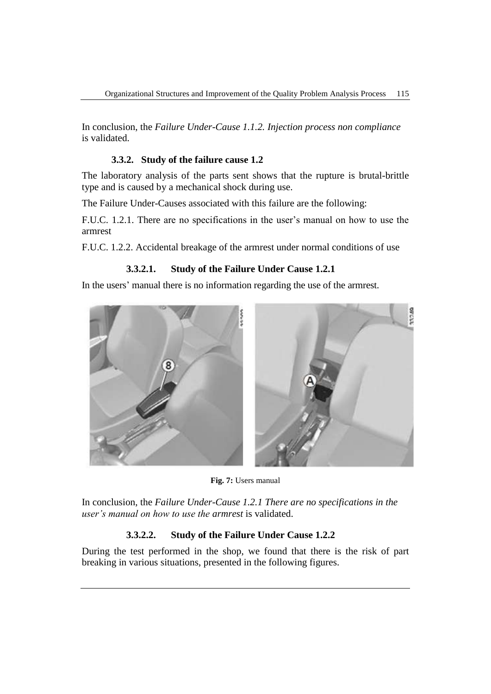In conclusion, the *Failure Under-Cause 1.1.2. Injection process non compliance* is validated.

# **3.3.2. Study of the failure cause 1.2**

The laboratory analysis of the parts sent shows that the rupture is brutal-brittle type and is caused by a mechanical shock during use.

The Failure Under-Causes associated with this failure are the following:

F.U.C. 1.2.1. There are no specifications in the user's manual on how to use the armrest

F.U.C. 1.2.2. Accidental breakage of the armrest under normal conditions of use

## **3.3.2.1. Study of the Failure Under Cause 1.2.1**

In the users' manual there is no information regarding the use of the armrest.



**Fig. 7:** Users manual

In conclusion, the *Failure Under-Cause 1.2.1 There are no specifications in the user's manual on how to use the armrest* is validated.

# **3.3.2.2. Study of the Failure Under Cause 1.2.2**

During the test performed in the shop, we found that there is the risk of part breaking in various situations, presented in the following figures.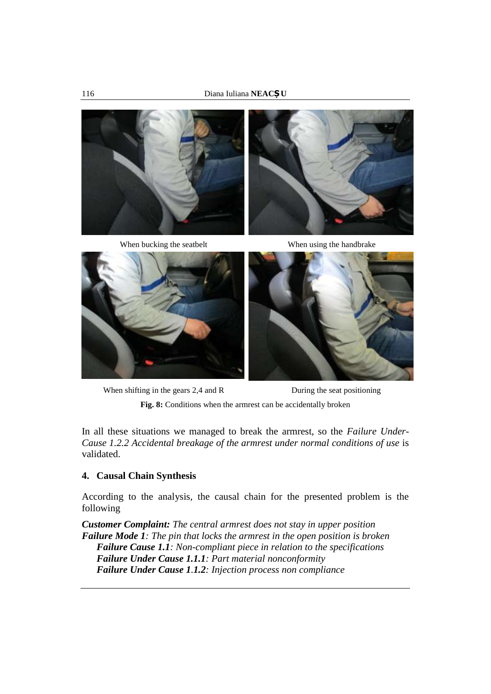





When shifting in the gears 2,4 and R During the seat positioning

Fig. 8: Conditions when the armrest can be accidentally broken

In all these situations we managed to break the armrest, so the *Failure Under-Cause 1.2.2 Accidental breakage of the armrest under normal conditions of use* is validated.

## **4. Causal Chain Synthesis**

According to the analysis, the causal chain for the presented problem is the following

*Customer Complaint: The central armrest does not stay in upper position Failure Mode 1: The pin that locks the armrest in the open position is broken Failure Cause 1.1: Non-compliant piece in relation to the specifications Failure Under Cause 1.1.1: Part material nonconformity Failure Under Cause 1.1.2: Injection process non compliance*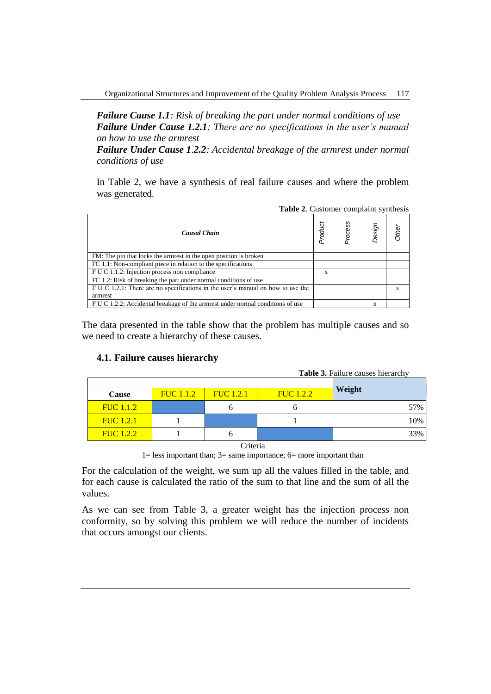*Failure Cause 1.1: Risk of breaking the part under normal conditions of use Failure Under Cause 1.2.1: There are no specifications in the user's manual on how to use the armrest* 

*Failure Under Cause 1.2.2: Accidental breakage of the armrest under normal conditions of use*

In Table 2, we have a synthesis of real failure causes and where the problem was generated.

| <b>rapic 2.</b> Castoliter complaint synthesis                                  |         |         |        |       |  |
|---------------------------------------------------------------------------------|---------|---------|--------|-------|--|
| <b>Causal Chain</b>                                                             | Product | Process | Design | Other |  |
| FM: The pin that locks the armrest in the open position is broken               |         |         |        |       |  |
| FC 1.1: Non-compliant piece in relation to the specifications                   |         |         |        |       |  |
| F U C 1.1.2: Injection process non compliance                                   | X       |         |        |       |  |
| FC 1.2: Risk of breaking the part under normal conditions of use                |         |         |        |       |  |
| F U C 1.2.1: There are no specifications in the user's manual on how to use the |         |         |        | X     |  |
| armrest                                                                         |         |         |        |       |  |
| F U C 1.2.2: Accidental breakage of the armest under normal conditions of use   |         |         | X      |       |  |

The data presented in the table show that the problem has multiple causes and so we need to create a hierarchy of these causes.

## **4.1. Failure causes hierarchy**

| <b>Table 3.</b> Failure causes hierarchy |                  |                  |                  |        |  |  |
|------------------------------------------|------------------|------------------|------------------|--------|--|--|
|                                          |                  |                  |                  | Weight |  |  |
| Cause                                    | <b>FUC</b> 1.1.2 | <b>FUC</b> 1.2.1 | <b>FUC</b> 1.2.2 |        |  |  |
| <b>FUC</b> 1.1.2                         |                  | n                | υ                | 57%    |  |  |
| <b>FUC</b> 1.2.1                         |                  |                  |                  | 10%    |  |  |
| <b>FUC</b> 1.2.2                         |                  | n                |                  | 33%    |  |  |
| Criteria                                 |                  |                  |                  |        |  |  |

1= less important than; 3= same importance; 6= more important than

For the calculation of the weight, we sum up all the values filled in the table, and for each cause is calculated the ratio of the sum to that line and the sum of all the values.

As we can see from Table 3, a greater weight has the injection process non conformity, so by solving this problem we will reduce the number of incidents that occurs amongst our clients.

**Table 2**. Customer complaint synthesis